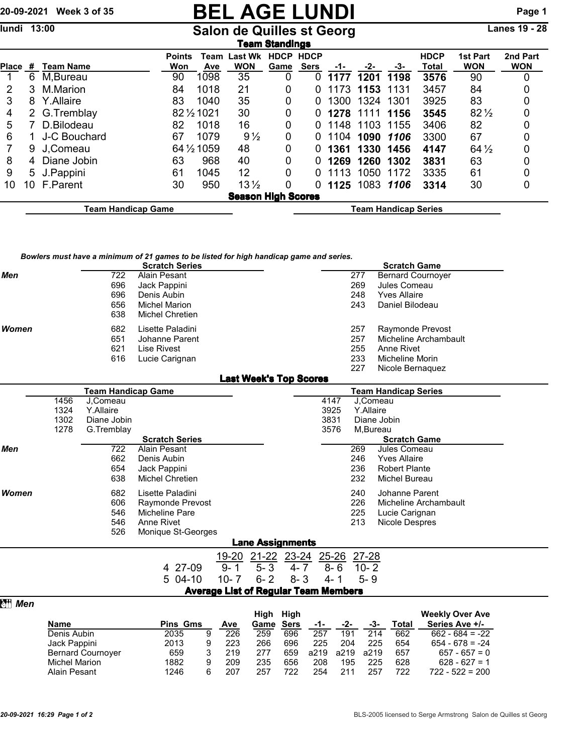## 20-09-2021 Week 3 of 35 **BEL AGE LUNDI** Page 1<br>
Undi 13:00 Salon de Quilles st Georg Lanes 19 - 28

## Salon de Quilles st Georg

|                           | Team Standings |                    |                      |             |                              |                             |                            |      |           |      |                      |                               |                        |  |
|---------------------------|----------------|--------------------|----------------------|-------------|------------------------------|-----------------------------|----------------------------|------|-----------|------|----------------------|-------------------------------|------------------------|--|
| <b>Place</b>              | #              | Team Name          | <b>Points</b><br>Won | Team<br>Ave | <b>Last Wk</b><br><b>WON</b> | <b>HDCP</b><br>Game         | <b>HDCP</b><br><b>Sers</b> | -1-  | -2-       | -3-  | <b>HDCP</b><br>Total | <b>1st Part</b><br><b>WON</b> | 2nd Part<br><b>WON</b> |  |
|                           | 6              | M, Bureau          | 90                   | 1098        | 35                           |                             | O                          | 1177 | 1201      | 1198 | 3576                 | 90                            | 0                      |  |
| 2                         | 3              | M.Marion           | 84                   | 1018        | 21                           | 0                           | O                          | 1173 | 1153      | 1131 | 3457                 | 84                            | 0                      |  |
| 3                         | 8              | Y.Allaire          | 83                   | 1040        | 35                           | 0                           | O                          | 1300 | 1324      | 1301 | 3925                 | 83                            | 0                      |  |
| 4                         | 2.             | G.Tremblay         |                      | 82 1/2 1021 | 30                           | 0                           | O                          | 1278 | 1111      | 1156 | 3545                 | $82\frac{1}{2}$               | 0                      |  |
| 5                         |                | D.Bilodeau         | 82                   | 1018        | 16                           | 0                           | 0                          | 1148 | 1103      | 1155 | 3406                 | 82                            | 0                      |  |
| 6                         |                | J-C Bouchard       | 67                   | 1079        | $9\frac{1}{2}$               | 0                           | 0                          | 1104 | 1090 1106 |      | 3300                 | 67                            | 0                      |  |
|                           | 9              | J.Comeau           |                      | 64 1/2 1059 | 48                           | 0                           | O                          | 1361 | 1330      | 1456 | 4147                 | $64\frac{1}{2}$               | 0                      |  |
| 8                         | 4              | Diane Jobin        | 63                   | 968         | 40                           | 0                           | 0                          | 1269 | 1260      | 1302 | 3831                 | 63                            | 0                      |  |
| 9                         | 5.             | J.Pappini          | 61                   | 1045        | 12                           | $\Omega$                    | O                          | 1113 | 1050      | 1172 | 3335                 | 61                            | 0                      |  |
| 10                        | 10             | F.Parent           | 30                   | 950         | $13\frac{1}{2}$              | 0                           | 0                          | 1125 | 1083 1106 |      | 3314                 | 30                            | 0                      |  |
| <b>Season High Scores</b> |                |                    |                      |             |                              |                             |                            |      |           |      |                      |                               |                        |  |
|                           |                | Team Handicap Game |                      |             |                              | <b>Team Handicap Series</b> |                            |      |           |      |                      |                               |                        |  |

*Bowlers must have a minimum of 21 games to be listed for high handicap game and series.*

|            |                      |                           | must have a minimum or z i games to be ilsted for myn handicap game and series.<br><b>Scratch Series</b> |                  |                               |             |                                             |           | <b>Scratch Game</b>                          |  |
|------------|----------------------|---------------------------|----------------------------------------------------------------------------------------------------------|------------------|-------------------------------|-------------|---------------------------------------------|-----------|----------------------------------------------|--|
| <b>Men</b> |                      | 722                       | Alain Pesant                                                                                             |                  |                               |             |                                             | 277       | <b>Bernard Cournover</b>                     |  |
|            |                      | 696                       | Jack Pappini                                                                                             |                  |                               |             |                                             | 269       | Jules Comeau                                 |  |
|            |                      | 696                       | Denis Aubin                                                                                              |                  |                               |             |                                             | 248       | <b>Yves Allaire</b>                          |  |
|            |                      | 656                       | <b>Michel Marion</b>                                                                                     |                  |                               |             |                                             | 243       | Daniel Bilodeau                              |  |
|            |                      | 638                       | Michel Chretien                                                                                          |                  |                               |             |                                             |           |                                              |  |
| Women      |                      | 682                       | Lisette Paladini                                                                                         |                  |                               |             |                                             | 257       | Raymonde Prevost                             |  |
|            |                      | 651                       | Johanne Parent                                                                                           |                  |                               |             |                                             | 257       | Micheline Archambault                        |  |
|            |                      | 621                       | Lise Rivest                                                                                              |                  |                               |             |                                             | 255       | Anne Rivet                                   |  |
|            |                      | 616                       | Lucie Carignan                                                                                           |                  |                               |             |                                             | 233       | <b>Micheline Morin</b>                       |  |
|            |                      |                           |                                                                                                          |                  |                               |             |                                             | 227       | Nicole Bernaguez                             |  |
|            |                      |                           |                                                                                                          |                  | <b>Last Week's Top Scores</b> |             |                                             |           |                                              |  |
|            |                      | <b>Team Handicap Game</b> |                                                                                                          |                  |                               |             |                                             |           | <b>Team Handicap Series</b>                  |  |
|            | 1456                 | J.Comeau                  |                                                                                                          |                  |                               |             | 4147                                        |           | J.Comeau                                     |  |
|            | 1324                 | Y.Allaire                 |                                                                                                          |                  |                               |             | 3925                                        | Y.Allaire |                                              |  |
|            | 1302                 | Diane Jobin               |                                                                                                          |                  |                               |             | 3831                                        |           | Diane Jobin                                  |  |
|            | 1278                 | G.Tremblay                |                                                                                                          |                  |                               |             | 3576                                        |           | M, Bureau                                    |  |
|            |                      |                           | <b>Scratch Series</b>                                                                                    |                  |                               |             |                                             |           | <b>Scratch Game</b>                          |  |
| <b>Men</b> |                      | 722                       | Alain Pesant                                                                                             |                  |                               |             |                                             | 269       | Jules Comeau                                 |  |
|            |                      | 662                       | Denis Aubin                                                                                              |                  |                               |             |                                             | 246       | <b>Yves Allaire</b>                          |  |
|            |                      | 654                       | Jack Pappini                                                                                             |                  |                               |             |                                             | 236       | <b>Robert Plante</b>                         |  |
|            |                      | 638                       | <b>Michel Chretien</b>                                                                                   |                  |                               |             |                                             | 232       | <b>Michel Bureau</b>                         |  |
| Women      |                      | 682                       | Lisette Paladini                                                                                         |                  |                               |             |                                             | 240       | Johanne Parent                               |  |
|            |                      | 606                       | Raymonde Prevost                                                                                         |                  |                               |             |                                             | 226       | Micheline Archambault                        |  |
|            |                      | 546                       | Micheline Pare                                                                                           |                  |                               |             |                                             | 225       | Lucie Carignan                               |  |
|            |                      | 546                       | Anne Rivet                                                                                               |                  |                               |             |                                             | 213       | Nicole Despres                               |  |
|            |                      | 526                       | Monique St-Georges                                                                                       |                  |                               |             |                                             |           |                                              |  |
|            |                      |                           |                                                                                                          |                  | <b>Lane Assignments</b>       |             |                                             |           |                                              |  |
|            |                      |                           |                                                                                                          | 19-20            | $21-22$ $23-24$               |             | $25 - 26$                                   | $27 - 28$ |                                              |  |
|            |                      |                           | 4 27-09                                                                                                  | $9 - 1$          | $5 - 3$                       | 4- 7        | $8 - 6$                                     | $10 - 2$  |                                              |  |
|            |                      |                           | 5 04-10                                                                                                  | $10 - 7$         | $6 - 2$                       | $8 - 3$     | $4 - 1$                                     | $5 - 9$   |                                              |  |
|            |                      |                           |                                                                                                          |                  |                               |             | <b>Average List of Regular Team Members</b> |           |                                              |  |
| Men        |                      |                           |                                                                                                          |                  |                               |             |                                             |           |                                              |  |
|            |                      |                           |                                                                                                          |                  | High High                     |             |                                             |           | <b>Weekly Over Ave</b>                       |  |
|            | Name                 |                           | <b>Pins Gms</b>                                                                                          | <b>Ave</b>       | Game                          | <b>Sers</b> | -1-                                         | -2-       | Series Ave +/-<br>-3-<br>Total               |  |
|            | Denis Aubin          |                           | 2035<br>9                                                                                                | $\overline{226}$ | 259                           | 696         | 257                                         | 191       | $\overline{214}$<br>662<br>$662 - 684 = -22$ |  |
|            | Jack Pappini         |                           | 2013<br>9                                                                                                | 223              | 266                           | 696         | 225                                         | 204       | 225<br>654<br>$654 - 678 = -24$              |  |
|            |                      | <b>Bernard Cournoyer</b>  | 659<br>3                                                                                                 | 219              | 277                           | 659         | a219                                        | a219      | a219<br>657<br>$657 - 657 = 0$               |  |
|            | <b>Michel Marion</b> |                           | 1882<br>9                                                                                                | 209              | 235                           | 656         | 208                                         | 195       | 225<br>628<br>$628 - 627 = 1$                |  |
|            | <b>Alain Pesant</b>  |                           | 6<br>1246                                                                                                | 207              | 257                           | 722         | 254                                         | 211       | 722<br>257<br>$722 - 522 = 200$              |  |